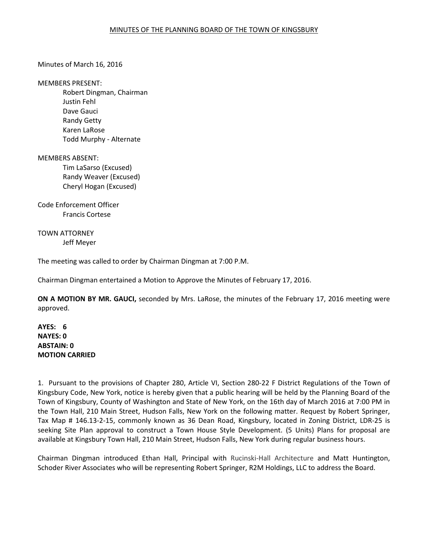### Minutes of March 16, 2016

#### MEMBERS PRESENT:

 Robert Dingman, Chairman Justin Fehl Dave Gauci Randy Getty Karen LaRose Todd Murphy - Alternate

### MEMBERS ABSENT:

Tim LaSarso (Excused) Randy Weaver (Excused) Cheryl Hogan (Excused)

Code Enforcement Officer Francis Cortese

# TOWN ATTORNEY Jeff Meyer

The meeting was called to order by Chairman Dingman at 7:00 P.M.

Chairman Dingman entertained a Motion to Approve the Minutes of February 17, 2016.

**ON A MOTION BY MR. GAUCI,** seconded by Mrs. LaRose, the minutes of the February 17, 2016 meeting were approved.

# **AYES: 6 NAYES: 0 ABSTAIN: 0 MOTION CARRIED**

1. Pursuant to the provisions of Chapter 280, Article VI, Section 280-22 F District Regulations of the Town of Kingsbury Code, New York, notice is hereby given that a public hearing will be held by the Planning Board of the Town of Kingsbury, County of Washington and State of New York, on the 16th day of March 2016 at 7:00 PM in the Town Hall, 210 Main Street, Hudson Falls, New York on the following matter. Request by Robert Springer, Tax Map # 146.13-2-15, commonly known as 36 Dean Road, Kingsbury, located in Zoning District, LDR-25 is seeking Site Plan approval to construct a Town House Style Development. (5 Units) Plans for proposal are available at Kingsbury Town Hall, 210 Main Street, Hudson Falls, New York during regular business hours.

Chairman Dingman introduced Ethan Hall, Principal with Rucinski-Hall Architecture and Matt Huntington, Schoder River Associates who will be representing Robert Springer, R2M Holdings, LLC to address the Board.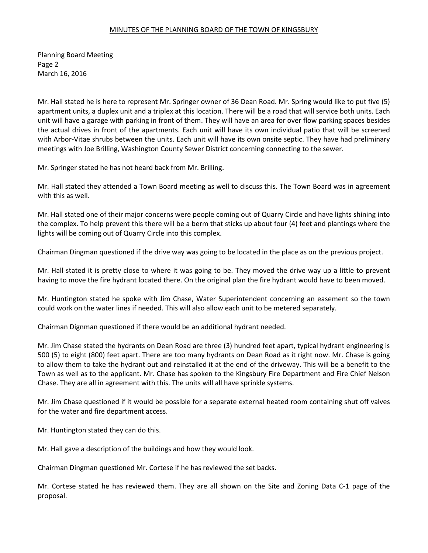Planning Board Meeting Page 2 March 16, 2016

Mr. Hall stated he is here to represent Mr. Springer owner of 36 Dean Road. Mr. Spring would like to put five (5) apartment units, a duplex unit and a triplex at this location. There will be a road that will service both units. Each unit will have a garage with parking in front of them. They will have an area for over flow parking spaces besides the actual drives in front of the apartments. Each unit will have its own individual patio that will be screened with Arbor-Vitae shrubs between the units. Each unit will have its own onsite septic. They have had preliminary meetings with Joe Brilling, Washington County Sewer District concerning connecting to the sewer.

Mr. Springer stated he has not heard back from Mr. Brilling.

Mr. Hall stated they attended a Town Board meeting as well to discuss this. The Town Board was in agreement with this as well.

Mr. Hall stated one of their major concerns were people coming out of Quarry Circle and have lights shining into the complex. To help prevent this there will be a berm that sticks up about four (4) feet and plantings where the lights will be coming out of Quarry Circle into this complex.

Chairman Dingman questioned if the drive way was going to be located in the place as on the previous project.

Mr. Hall stated it is pretty close to where it was going to be. They moved the drive way up a little to prevent having to move the fire hydrant located there. On the original plan the fire hydrant would have to been moved.

Mr. Huntington stated he spoke with Jim Chase, Water Superintendent concerning an easement so the town could work on the water lines if needed. This will also allow each unit to be metered separately.

Chairman Dignman questioned if there would be an additional hydrant needed.

Mr. Jim Chase stated the hydrants on Dean Road are three (3) hundred feet apart, typical hydrant engineering is 500 (5) to eight (800) feet apart. There are too many hydrants on Dean Road as it right now. Mr. Chase is going to allow them to take the hydrant out and reinstalled it at the end of the driveway. This will be a benefit to the Town as well as to the applicant. Mr. Chase has spoken to the Kingsbury Fire Department and Fire Chief Nelson Chase. They are all in agreement with this. The units will all have sprinkle systems.

Mr. Jim Chase questioned if it would be possible for a separate external heated room containing shut off valves for the water and fire department access.

Mr. Huntington stated they can do this.

Mr. Hall gave a description of the buildings and how they would look.

Chairman Dingman questioned Mr. Cortese if he has reviewed the set backs.

Mr. Cortese stated he has reviewed them. They are all shown on the Site and Zoning Data C-1 page of the proposal.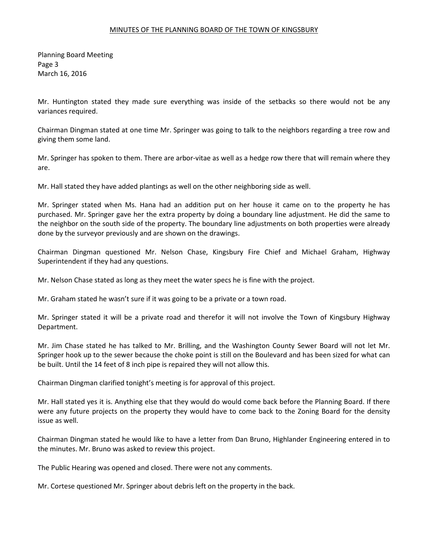Planning Board Meeting Page 3 March 16, 2016

Mr. Huntington stated they made sure everything was inside of the setbacks so there would not be any variances required.

Chairman Dingman stated at one time Mr. Springer was going to talk to the neighbors regarding a tree row and giving them some land.

Mr. Springer has spoken to them. There are arbor-vitae as well as a hedge row there that will remain where they are.

Mr. Hall stated they have added plantings as well on the other neighboring side as well.

Mr. Springer stated when Ms. Hana had an addition put on her house it came on to the property he has purchased. Mr. Springer gave her the extra property by doing a boundary line adjustment. He did the same to the neighbor on the south side of the property. The boundary line adjustments on both properties were already done by the surveyor previously and are shown on the drawings.

Chairman Dingman questioned Mr. Nelson Chase, Kingsbury Fire Chief and Michael Graham, Highway Superintendent if they had any questions.

Mr. Nelson Chase stated as long as they meet the water specs he is fine with the project.

Mr. Graham stated he wasn't sure if it was going to be a private or a town road.

Mr. Springer stated it will be a private road and therefor it will not involve the Town of Kingsbury Highway Department.

Mr. Jim Chase stated he has talked to Mr. Brilling, and the Washington County Sewer Board will not let Mr. Springer hook up to the sewer because the choke point is still on the Boulevard and has been sized for what can be built. Until the 14 feet of 8 inch pipe is repaired they will not allow this.

Chairman Dingman clarified tonight's meeting is for approval of this project.

Mr. Hall stated yes it is. Anything else that they would do would come back before the Planning Board. If there were any future projects on the property they would have to come back to the Zoning Board for the density issue as well.

Chairman Dingman stated he would like to have a letter from Dan Bruno, Highlander Engineering entered in to the minutes. Mr. Bruno was asked to review this project.

The Public Hearing was opened and closed. There were not any comments.

Mr. Cortese questioned Mr. Springer about debris left on the property in the back.